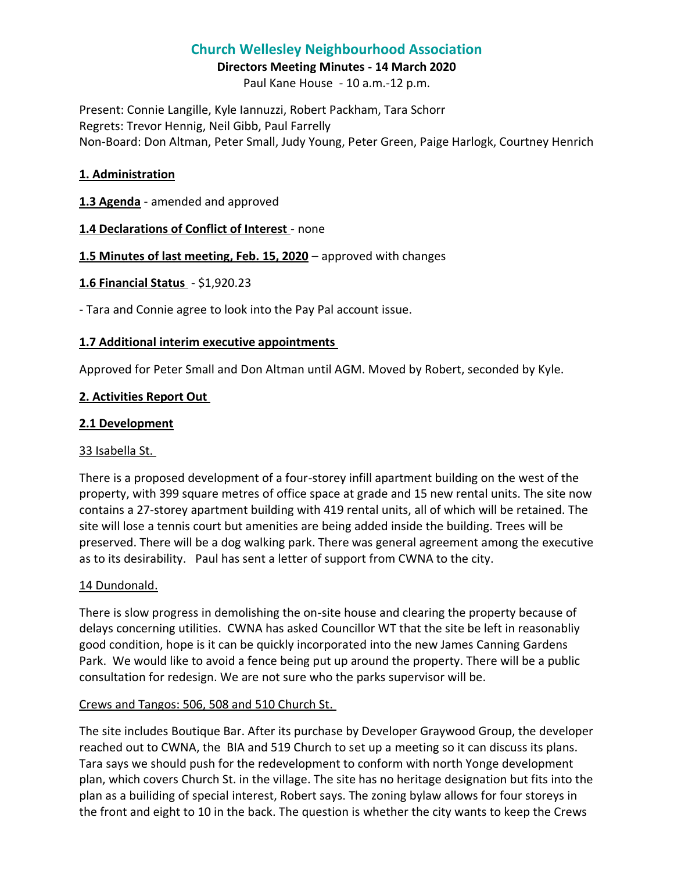# **Church Wellesley Neighbourhood Association**

#### **Directors Meeting Minutes - 14 March 2020**

Paul Kane House - 10 a.m.-12 p.m.

Present: Connie Langille, Kyle Iannuzzi, Robert Packham, Tara Schorr Regrets: Trevor Hennig, Neil Gibb, Paul Farrelly Non-Board: Don Altman, Peter Small, Judy Young, Peter Green, Paige Harlogk, Courtney Henrich

#### **1. Administration**

## **1.3 Agenda** - amended and approved

## **1.4 Declarations of Conflict of Interest** - none

## **1.5 Minutes of last meeting, Feb. 15, 2020** – approved with changes

## **1.6 Financial Status** - \$1,920.23

- Tara and Connie agree to look into the Pay Pal account issue.

## **1.7 Additional interim executive appointments**

Approved for Peter Small and Don Altman until AGM. Moved by Robert, seconded by Kyle.

## **2. Activities Report Out**

## **2.1 Development**

#### 33 Isabella St.

There is a proposed development of a four-storey infill apartment building on the west of the property, with 399 square metres of office space at grade and 15 new rental units. The site now contains a 27-storey apartment building with 419 rental units, all of which will be retained. The site will lose a tennis court but amenities are being added inside the building. Trees will be preserved. There will be a dog walking park. There was general agreement among the executive as to its desirability. Paul has sent a letter of support from CWNA to the city.

#### 14 Dundonald.

There is slow progress in demolishing the on-site house and clearing the property because of delays concerning utilities. CWNA has asked Councillor WT that the site be left in reasonabliy good condition, hope is it can be quickly incorporated into the new James Canning Gardens Park. We would like to avoid a fence being put up around the property. There will be a public consultation for redesign. We are not sure who the parks supervisor will be.

#### Crews and Tangos: 506, 508 and 510 Church St.

The site includes Boutique Bar. After its purchase by Developer Graywood Group, the developer reached out to CWNA, the BIA and 519 Church to set up a meeting so it can discuss its plans. Tara says we should push for the redevelopment to conform with north Yonge development plan, which covers Church St. in the village. The site has no heritage designation but fits into the plan as a builiding of special interest, Robert says. The zoning bylaw allows for four storeys in the front and eight to 10 in the back. The question is whether the city wants to keep the Crews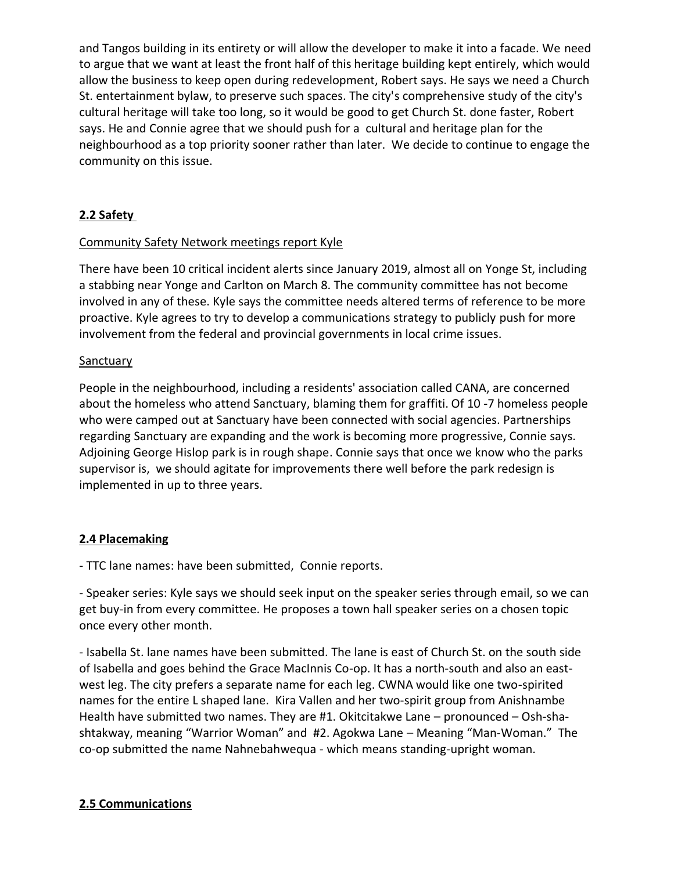and Tangos building in its entirety or will allow the developer to make it into a facade. We need to argue that we want at least the front half of this heritage building kept entirely, which would allow the business to keep open during redevelopment, Robert says. He says we need a Church St. entertainment bylaw, to preserve such spaces. The city's comprehensive study of the city's cultural heritage will take too long, so it would be good to get Church St. done faster, Robert says. He and Connie agree that we should push for a cultural and heritage plan for the neighbourhood as a top priority sooner rather than later. We decide to continue to engage the community on this issue.

## **2.2 Safety**

## Community Safety Network meetings report Kyle

There have been 10 critical incident alerts since January 2019, almost all on Yonge St, including a stabbing near Yonge and Carlton on March 8. The community committee has not become involved in any of these. Kyle says the committee needs altered terms of reference to be more proactive. Kyle agrees to try to develop a communications strategy to publicly push for more involvement from the federal and provincial governments in local crime issues.

#### **Sanctuary**

People in the neighbourhood, including a residents' association called CANA, are concerned about the homeless who attend Sanctuary, blaming them for graffiti. Of 10 -7 homeless people who were camped out at Sanctuary have been connected with social agencies. Partnerships regarding Sanctuary are expanding and the work is becoming more progressive, Connie says. Adjoining George Hislop park is in rough shape. Connie says that once we know who the parks supervisor is, we should agitate for improvements there well before the park redesign is implemented in up to three years.

#### **2.4 Placemaking**

- TTC lane names: have been submitted, Connie reports.

- Speaker series: Kyle says we should seek input on the speaker series through email, so we can get buy-in from every committee. He proposes a town hall speaker series on a chosen topic once every other month.

- Isabella St. lane names have been submitted. The lane is east of Church St. on the south side of Isabella and goes behind the Grace MacInnis Co-op. It has a north-south and also an eastwest leg. The city prefers a separate name for each leg. CWNA would like one two-spirited names for the entire L shaped lane. Kira Vallen and her two-spirit group from Anishnambe Health have submitted two names. They are #1. Okitcitakwe Lane – pronounced – Osh-shashtakway, meaning "Warrior Woman" and #2. Agokwa Lane – Meaning "Man-Woman." The co-op submitted the name Nahnebahwequa - which means standing-upright woman.

## **2.5 Communications**